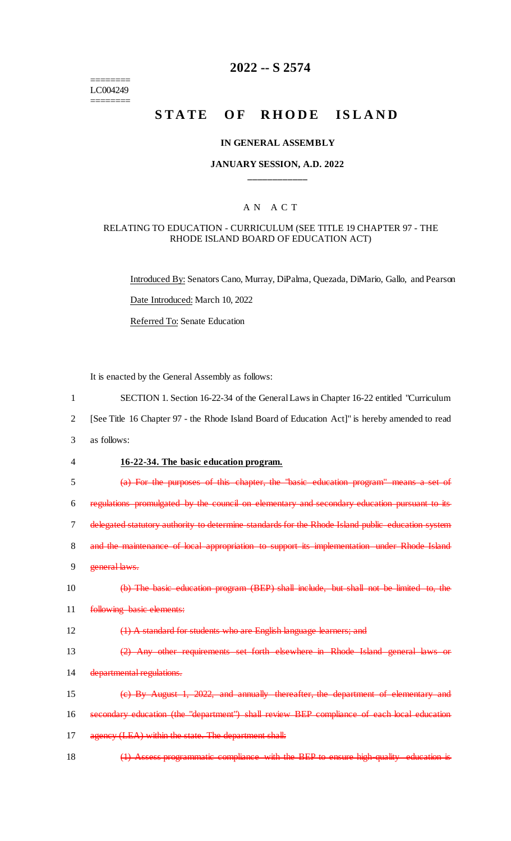======== LC004249 ========

# **2022 -- S 2574**

# STATE OF RHODE ISLAND

### **IN GENERAL ASSEMBLY**

# **JANUARY SESSION, A.D. 2022 \_\_\_\_\_\_\_\_\_\_\_\_**

# A N A C T

### RELATING TO EDUCATION - CURRICULUM (SEE TITLE 19 CHAPTER 97 - THE RHODE ISLAND BOARD OF EDUCATION ACT)

Introduced By: Senators Cano, Murray, DiPalma, Quezada, DiMario, Gallo, and Pearson Date Introduced: March 10, 2022 Referred To: Senate Education

It is enacted by the General Assembly as follows:

- 1 SECTION 1. Section 16-22-34 of the General Laws in Chapter 16-22 entitled "Curriculum
- 2 [See Title 16 Chapter 97 the Rhode Island Board of Education Act]" is hereby amended to read
- 3 as follows:

#### 4 **16-22-34. The basic education program.**

5 (a) For the purposes of this chapter, the "basic education program" means a set of

6 regulations promulgated by the council on elementary and secondary education pursuant to its

7 delegated statutory authority to determine standards for the Rhode Island public education system

8 and the maintenance of local appropriation to support its implementation under Rhode Island

- 9 general laws.
- 10 (b) The basic education program (BEP) shall include, but shall not be limited to, the

11 following basic elements:

12 (1) A standard for students who are English language learners; and

13 (2) Any other requirements set forth elsewhere in Rhode Island general laws or 14 departmental regulations.

- 15 (c) By August 1, 2022, and annually thereafter, the department of elementary and
- 16 secondary education (the "department") shall review BEP compliance of each local education

17 agency (LEA) within the state. The department shall:

18 (1) Assess programmatic compliance with the BEP to ensure high-quality education is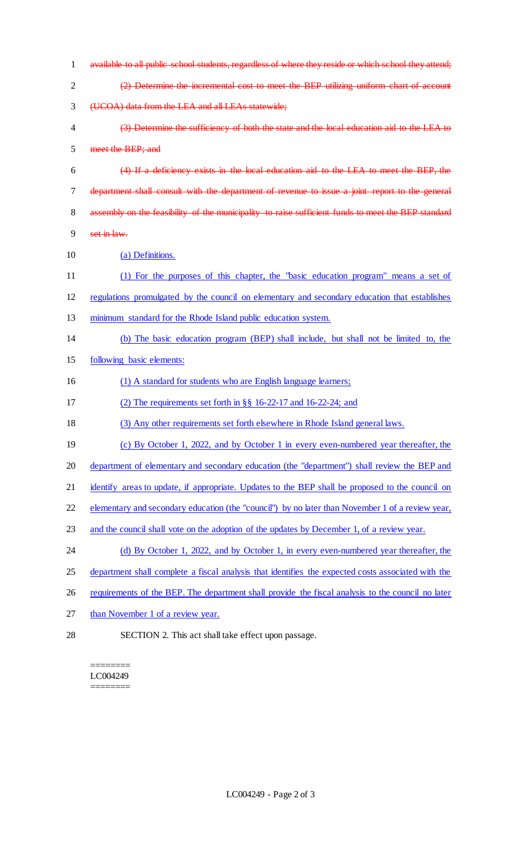- available to all public school students, regardless of where they reside or which school they attend; (2) Determine the incremental cost to meet the BEP utilizing uniform chart of account (UCOA) data from the LEA and all LEAs statewide; (3) Determine the sufficiency of both the state and the local education aid to the LEA to meet the BEP; and (4) If a deficiency exists in the local education aid to the LEA to meet the BEP, the department shall consult with the department of revenue to issue a joint report to the general 8 assembly on the feasibility of the municipality to raise sufficient funds to meet the BEP standard set in law. (a) Definitions. (1) For the purposes of this chapter, the "basic education program" means a set of regulations promulgated by the council on elementary and secondary education that establishes minimum standard for the Rhode Island public education system. (b) The basic education program (BEP) shall include, but shall not be limited to, the following basic elements: (1) A standard for students who are English language learners; (2) The requirements set forth in §§ 16-22-17 and 16-22-24; and (3) Any other requirements set forth elsewhere in Rhode Island general laws. (c) By October 1, 2022, and by October 1 in every even-numbered year thereafter, the department of elementary and secondary education (the "department") shall review the BEP and 21 identify areas to update, if appropriate. Updates to the BEP shall be proposed to the council on elementary and secondary education (the "council") by no later than November 1 of a review year, and the council shall vote on the adoption of the updates by December 1, of a review year. 24 (d) By October 1, 2022, and by October 1, in every even-numbered year thereafter, the 25 department shall complete a fiscal analysis that identifies the expected costs associated with the 26 requirements of the BEP. The department shall provide the fiscal analysis to the council no later 27 than November 1 of a review year.
- SECTION 2. This act shall take effect upon passage.

======== LC004249

========